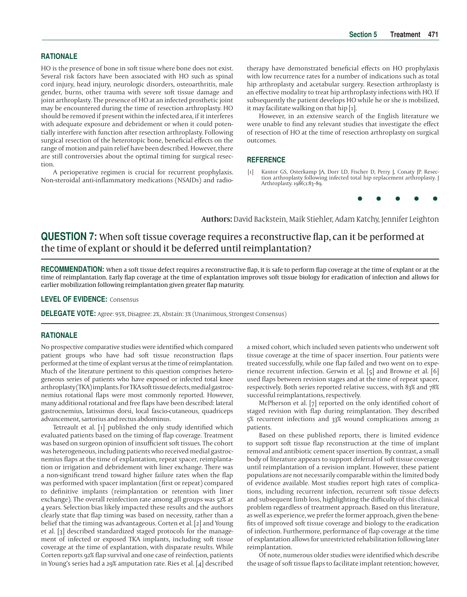# **RATIONALE**

HO is the presence of bone in soft tissue where bone does not exist. Several risk factors have been associated with HO such as spinal cord injury, head injury, neurologic disorders, osteoarthritis, male gender, burns, other trauma with severe soft tissue damage and joint arthroplasty. The presence of HO at an infected prosthetic joint may be encountered during the time of resection arthroplasty. HO should be removed if present within the infected area, if it interferes with adequate exposure and debridement or when it could potentially interfere with function after resection arthroplasty. Following surgical resection of the heterotopic bone, beneficial effects on the range of motion and pain relief have been described. However, there are still controversies about the optimal timing for surgical resection.

A perioperative regimen is crucial for recurrent prophylaxis. Non-steroidal anti-inflammatory medications (NSAIDs) and radio-

therapy have demonstrated beneficial effects on HO prophylaxis with low recurrence rates for a number of indications such as total hip arthroplasty and acetabular surgery. Resection arthroplasty is an effective modality to treat hip arthroplasty infections with HO. If subsequently the patient develops HO while he or she is mobilized, it may facilitate walking on that hip [1].

However, in an extensive search of the English literature we were unable to find any relevant studies that investigate the effect of resection of HO at the time of resection arthroplasty on surgical outcomes.

## **REFERENCE**

[1] Kantor GS, Osterkamp JA, Dorr LD, Fischer D, Perry J, Conaty JP. Resection arthroplasty following infected total hip replacement arthroplasty. J Arthroplasty. 1986;1:83–89.



Authors: David Backstein, Maik Stiehler, Adam Katchy, Jennifer Leighton

# **QUESTION 7:** When soft tissue coverage requires a reconstructive flap, can it be performed at the time of explant or should it be deferred until reimplantation?

**RECOMMENDATION:** When a soft tissue defect requires a reconstructive flap, it is safe to perform flap coverage at the time of explant or at the time of reimplantation. Early flap coverage at the time of explantation improves soft tissue biology for eradication of infection and allows for earlier mobilization following reimplantation given greater flap maturity.

#### **LEVEL OF EVIDENCE:** Consensus

**DELEGATE VOTE:** Agree: 95%, Disagree: 2%, Abstain: 3% (Unanimous, Strongest Consensus)

#### **RATIONALE**

No prospective comparative studies were identified which compared patient groups who have had soft tissue reconstruction flaps performed at the time of explant versus at the time of reimplantation. Much of the literature pertinent to this question comprises heterogeneous series of patients who have exposed or infected total knee arthroplasty (TKA) implants. For TKA soft tissue defects, medial gastrocnemius rotational flaps were most commonly reported. However, many additional rotational and free flaps have been described: lateral gastrocnemius, latissimus dorsi, local fascio-cutaneous, quadriceps advancement, sartorius and rectus abdominus.

Tetreault et al.  $\lceil 1 \rceil$  published the only study identified which evaluated patients based on the timing of flap coverage. Treatment was based on surgeon opinion of insufficient soft tissues. The cohort was heterogeneous, including patients who received medial gastrocnemius flaps at the time of explantation, repeat spacer, reimplantation or irrigation and debridement with liner exchange. There was a non-significant trend toward higher failure rates when the flap was performed with spacer implantation (first or repeat) compared to definitive implants (reimplantation or retention with liner exchange). The overall reinfection rate among all groups was 52% at 4 years. Selection bias likely impacted these results and the authors clearly state that flap timing was based on necessity, rather than a belief that the timing was advantageous. Corten et al. [2] and Young et al. [3] described standardized staged protocols for the management of infected or exposed TKA implants, including soft tissue coverage at the time of explantation, with disparate results. While Corten reports 92% flap survival and one case of reinfection, patients in Young's series had a 29% amputation rate. Ries et al. [4] described a mixed cohort, which included seven patients who underwent soft tissue coverage at the time of spacer insertion. Four patients were treated successfully, while one flap failed and two went on to experience recurrent infection. Gerwin et al. [5] and Browne et al. [6] used flaps between revision stages and at the time of repeat spacer, respectively. Both series reported relative success, with 83% and 78% successful reimplantations, respectively.

McPherson et al.  $[7]$  reported on the only identified cohort of staged revision with flap during reimplantation. They described 5% recurrent infections and 33% wound complications among 21 patients.

Based on these published reports, there is limited evidence to support soft tissue flap reconstruction at the time of implant removal and antibiotic cement spacer insertion. By contrast, a small body of literature appears to support deferral of soft tissue coverage until reimplantation of a revision implant. However, these patient populations are not necessarily comparable within the limited body of evidence available. Most studies report high rates of complications, including recurrent infection, recurrent soft tissue defects and subsequent limb loss, highlighting the difficulty of this clinical problem regardless of treatment approach. Based on this literature, as well as experience, we prefer the former approach, given the benefits of improved soft tissue coverage and biology to the eradication of infection. Furthermore, performance of flap coverage at the time of explantation allows for unrestricted rehabilitation following later reimplantation.

Of note, numerous older studies were identified which describe the usage of soft tissue flaps to facilitate implant retention; however,